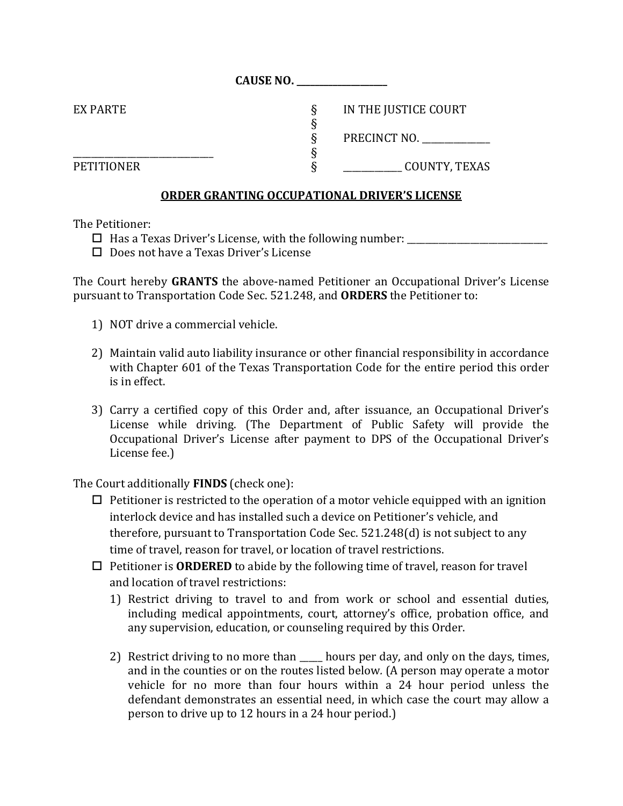| EX PARTE          | IN THE JUSTICE COURT |
|-------------------|----------------------|
|                   |                      |
|                   | PRECINCT NO.         |
|                   |                      |
| <b>PETITIONER</b> | COUNTY, TEXAS        |

**CAUSE NO. \_\_\_\_\_\_\_\_\_\_\_\_\_\_\_\_\_\_\_\_**

## **ORDER GRANTING OCCUPATIONAL DRIVER'S LICENSE**

The Petitioner:

- Has a Texas Driver's License, with the following number: \_\_\_\_\_\_\_\_\_\_\_\_\_\_\_\_\_\_\_\_\_\_\_\_\_\_\_\_\_\_\_
- Does not have a Texas Driver's License

The Court hereby **GRANTS** the above-named Petitioner an Occupational Driver's License pursuant to Transportation Code Sec. 521.248, and **ORDERS** the Petitioner to:

- 1) NOT drive a commercial vehicle.
- 2) Maintain valid auto liability insurance or other financial responsibility in accordance with Chapter 601 of the Texas Transportation Code for the entire period this order is in effect.
- 3) Carry a certified copy of this Order and, after issuance, an Occupational Driver's License while driving. (The Department of Public Safety will provide the Occupational Driver's License after payment to DPS of the Occupational Driver's License fee.)

The Court additionally **FINDS** (check one):

- $\Box$  Petitioner is restricted to the operation of a motor vehicle equipped with an ignition interlock device and has installed such a device on Petitioner's vehicle, and therefore, pursuant to Transportation Code Sec. 521.248(d) is not subject to any time of travel, reason for travel, or location of travel restrictions.
- $\Box$  Petitioner is **ORDERED** to abide by the following time of travel, reason for travel and location of travel restrictions:
	- 1) Restrict driving to travel to and from work or school and essential duties, including medical appointments, court, attorney's office, probation office, and any supervision, education, or counseling required by this Order.
	- 2) Restrict driving to no more than \_\_\_\_\_ hours per day, and only on the days, times, and in the counties or on the routes listed below*.* (A person may operate a motor vehicle for no more than four hours within a 24 hour period unless the defendant demonstrates an essential need, in which case the court may allow a person to drive up to 12 hours in a 24 hour period.)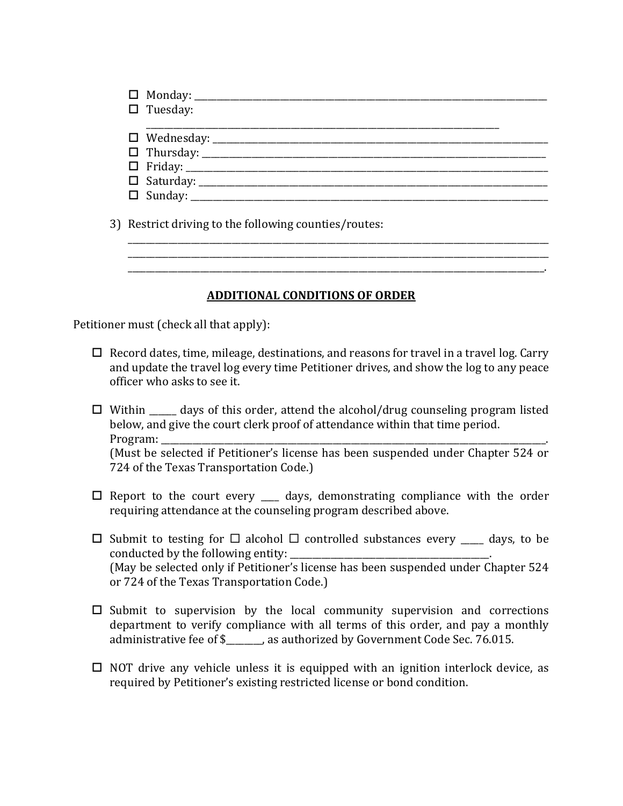| $\square$ Tuesday:                                    |  |
|-------------------------------------------------------|--|
|                                                       |  |
|                                                       |  |
|                                                       |  |
|                                                       |  |
|                                                       |  |
|                                                       |  |
|                                                       |  |
| 3) Restrict driving to the following counties/routes: |  |

\_\_\_\_\_\_\_\_\_\_\_\_\_\_\_\_\_\_\_\_\_\_\_\_\_\_\_\_\_\_\_\_\_\_\_\_\_\_\_\_\_\_\_\_\_\_\_\_\_\_\_\_\_\_\_\_\_\_\_\_\_\_\_\_\_\_\_\_\_\_\_\_\_\_\_\_\_\_\_\_\_\_\_\_\_\_\_\_\_\_\_\_\_ \_\_\_\_\_\_\_\_\_\_\_\_\_\_\_\_\_\_\_\_\_\_\_\_\_\_\_\_\_\_\_\_\_\_\_\_\_\_\_\_\_\_\_\_\_\_\_\_\_\_\_\_\_\_\_\_\_\_\_\_\_\_\_\_\_\_\_\_\_\_\_\_\_\_\_\_\_\_\_\_\_\_\_\_\_\_\_\_\_\_\_\_.

\_\_\_\_\_\_\_\_\_\_\_\_\_\_\_\_\_\_\_\_\_\_\_\_\_\_\_\_\_\_\_\_\_\_\_\_\_\_\_\_\_\_\_\_\_\_\_\_\_\_\_\_\_\_\_\_\_\_\_\_\_\_\_\_\_\_\_\_\_\_\_\_\_\_\_\_\_\_\_\_\_\_\_\_\_\_\_\_\_\_\_\_\_

## **ADDITIONAL CONDITIONS OF ORDER**

Petitioner must (check all that apply):

- $\Box$  Record dates, time, mileage, destinations, and reasons for travel in a travel log. Carry and update the travel log every time Petitioner drives, and show the log to any peace officer who asks to see it.
- $\Box$  Within  $\Box$  days of this order, attend the alcohol/drug counseling program listed below, and give the court clerk proof of attendance within that time period. Program: (Must be selected if Petitioner's license has been suspended under Chapter 524 or 724 of the Texas Transportation Code.)
- $\square$  Report to the court every  $\square$  days, demonstrating compliance with the order requiring attendance at the counseling program described above.
- $\Box$  Submit to testing for  $\Box$  alcohol  $\Box$  controlled substances every \_\_\_\_\_\_ days, to be conducted by the following entity: (May be selected only if Petitioner's license has been suspended under Chapter 524 or 724 of the Texas Transportation Code.)
- $\Box$  Submit to supervision by the local community supervision and corrections department to verify compliance with all terms of this order, and pay a monthly administrative fee of \$ as authorized by Government Code Sec. 76.015.
- $\Box$  NOT drive any vehicle unless it is equipped with an ignition interlock device, as required by Petitioner's existing restricted license or bond condition.